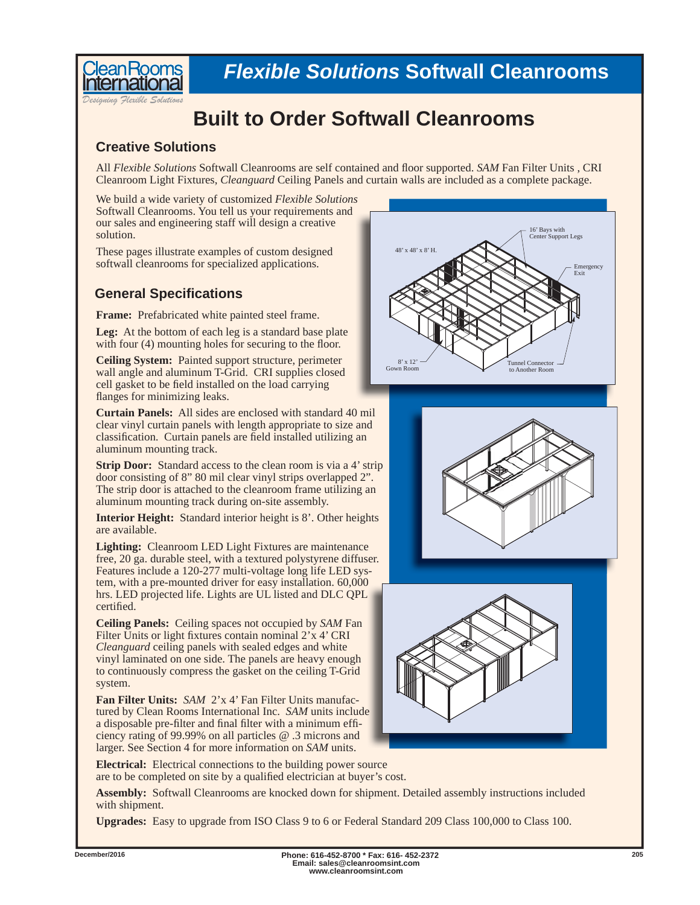

*Designing Flexible Solutions*

**ean Rooms** 

## **Built to Order Softwall Cleanrooms**

## **Creative Solutions**

All *Flexible Solutions* Softwall Cleanrooms are self contained and floor supported. *SAM* Fan Filter Units, CRI Cleanroom Light Fixtures, *Cleanguard* Ceiling Panels and curtain walls are included as a complete package.

We build a wide variety of customized *Flexible Solutions*  Softwall Cleanrooms. You tell us your requirements and our sales and engineering staff will design a creative solution.

These pages illustrate examples of custom designed softwall cleanrooms for specialized applications.

## **General Specifi cations**

**Frame:** Prefabricated white painted steel frame.

**Leg:** At the bottom of each leg is a standard base plate with four (4) mounting holes for securing to the floor.

**Ceiling System:** Painted support structure, perimeter wall angle and aluminum T-Grid. CRI supplies closed cell gasket to be field installed on the load carrying flanges for minimizing leaks.

**Curtain Panels:** All sides are enclosed with standard 40 mil clear vinyl curtain panels with length appropriate to size and classification. Curtain panels are field installed utilizing an aluminum mounting track.

**Strip Door:** Standard access to the clean room is via a 4' strip door consisting of 8" 80 mil clear vinyl strips overlapped 2". The strip door is attached to the cleanroom frame utilizing an aluminum mounting track during on-site assembly.

**Interior Height:** Standard interior height is 8'. Other heights are available.

**Lighting:** Cleanroom LED Light Fixtures are maintenance free, 20 ga. durable steel, with a textured polystyrene diffuser. Features include a 120-277 multi-voltage long life LED system, with a pre-mounted driver for easy installation. 60,000 hrs. LED projected life. Lights are UL listed and DLC QPL certified.

**Ceiling Panels:** Ceiling spaces not occupied by *SAM* Fan Filter Units or light fixtures contain nominal 2'x 4' CRI *Cleanguard* ceiling panels with sealed edges and white vinyl laminated on one side. The panels are heavy enough to continuously compress the gasket on the ceiling T-Grid system.

**Fan Filter Units:** *SAM* 2'x 4' Fan Filter Units manufactured by Clean Rooms International Inc. *SAM* units include a disposable pre-filter and final filter with a minimum efficiency rating of 99.99% on all particles @ .3 microns and larger. See Section 4 for more information on *SAM* units.

**Electrical:** Electrical connections to the building power source are to be completed on site by a qualified electrician at buyer's cost.

**Assembly:** Softwall Cleanrooms are knocked down for shipment. Detailed assembly instructions included with shipment.

**Upgrades:** Easy to upgrade from ISO Class 9 to 6 or Federal Standard 209 Class 100,000 to Class 100.